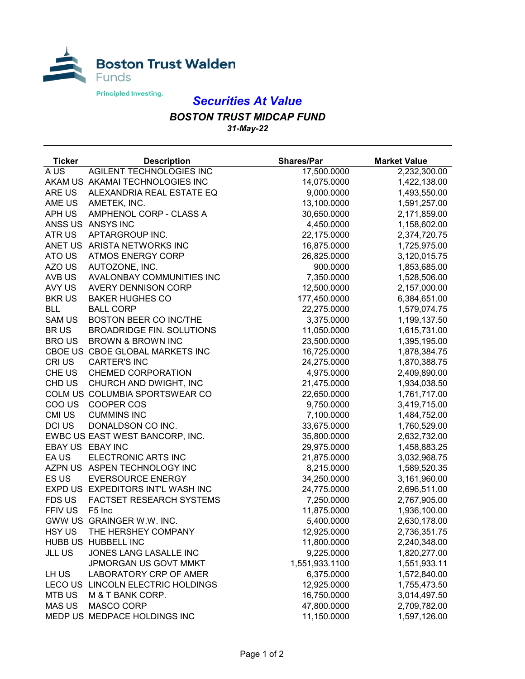

## *Securities At Value*

## *BOSTON TRUST MIDCAP FUND 31-May-22*

| <b>Ticker</b> | <b>Description</b>                | <b>Shares/Par</b> | <b>Market Value</b> |
|---------------|-----------------------------------|-------------------|---------------------|
| A US          | AGILENT TECHNOLOGIES INC          | 17,500.0000       | 2,232,300.00        |
|               | AKAM US AKAMAI TECHNOLOGIES INC   | 14,075.0000       | 1,422,138.00        |
| ARE US        | ALEXANDRIA REAL ESTATE EQ         | 9,000.0000        | 1,493,550.00        |
| AME US        | AMETEK, INC.                      | 13,100.0000       | 1,591,257.00        |
| APH US        | AMPHENOL CORP - CLASS A           | 30,650.0000       | 2,171,859.00        |
|               | ANSS US ANSYS INC                 | 4,450.0000        | 1,158,602.00        |
| ATR US        | APTARGROUP INC.                   | 22,175.0000       | 2,374,720.75        |
|               | ANET US ARISTA NETWORKS INC       | 16,875.0000       | 1,725,975.00        |
| ATO US        | <b>ATMOS ENERGY CORP</b>          | 26,825.0000       | 3,120,015.75        |
| AZO US        | AUTOZONE, INC.                    | 900.0000          | 1,853,685.00        |
| AVB US        | AVALONBAY COMMUNITIES INC         | 7,350.0000        | 1,528,506.00        |
| AVY US        | <b>AVERY DENNISON CORP</b>        | 12,500.0000       | 2,157,000.00        |
| <b>BKRUS</b>  | <b>BAKER HUGHES CO</b>            | 177,450.0000      | 6,384,651.00        |
| <b>BLL</b>    | <b>BALL CORP</b>                  | 22,275.0000       | 1,579,074.75        |
| <b>SAM US</b> | <b>BOSTON BEER CO INC/THE</b>     | 3,375.0000        | 1,199,137.50        |
| <b>BRUS</b>   | <b>BROADRIDGE FIN. SOLUTIONS</b>  | 11,050.0000       | 1,615,731.00        |
| <b>BROUS</b>  | <b>BROWN &amp; BROWN INC</b>      | 23,500.0000       | 1,395,195.00        |
|               | CBOE US CBOE GLOBAL MARKETS INC   | 16,725.0000       | 1,878,384.75        |
| CRI US        | <b>CARTER'S INC</b>               | 24,275.0000       | 1,870,388.75        |
| CHE US        | <b>CHEMED CORPORATION</b>         | 4,975.0000        | 2,409,890.00        |
| CHD US        | CHURCH AND DWIGHT, INC            | 21,475.0000       | 1,934,038.50        |
|               | COLM US COLUMBIA SPORTSWEAR CO    | 22,650.0000       | 1,761,717.00        |
| COO US        | COOPER COS                        | 9,750.0000        | 3,419,715.00        |
| CMI US        | <b>CUMMINS INC</b>                | 7,100.0000        | 1,484,752.00        |
| DCI US        | DONALDSON CO INC.                 | 33,675.0000       | 1,760,529.00        |
|               | EWBC US EAST WEST BANCORP, INC.   | 35,800.0000       | 2,632,732.00        |
|               | EBAY US EBAY INC                  | 29,975.0000       | 1,458,883.25        |
| EA US         | ELECTRONIC ARTS INC               | 21,875.0000       | 3,032,968.75        |
|               | AZPN US ASPEN TECHNOLOGY INC      | 8,215.0000        | 1,589,520.35        |
| ES US         | <b>EVERSOURCE ENERGY</b>          | 34,250.0000       | 3,161,960.00        |
|               | EXPD US EXPEDITORS INT'L WASH INC | 24,775.0000       | 2,696,511.00        |
| <b>FDS US</b> | FACTSET RESEARCH SYSTEMS          | 7,250.0000        | 2,767,905.00        |
| FFIV US       | F5 Inc                            | 11,875.0000       | 1,936,100.00        |
|               | GWW US GRAINGER W.W. INC.         | 5,400.0000        | 2,630,178.00        |
| <b>HSY US</b> | THE HERSHEY COMPANY               | 12,925.0000       | 2,736,351.75        |
|               | HUBB US HUBBELL INC               | 11,800.0000       | 2,240,348.00        |
| <b>JLL US</b> | JONES LANG LASALLE INC            | 9,225.0000        | 1,820,277.00        |
|               | JPMORGAN US GOVT MMKT             | 1,551,933.1100    | 1,551,933.11        |
| LH US         | LABORATORY CRP OF AMER            | 6,375.0000        | 1,572,840.00        |
| LECO US       | LINCOLN ELECTRIC HOLDINGS         | 12,925.0000       | 1,755,473.50        |
| <b>MTB US</b> | M & T BANK CORP.                  | 16,750.0000       | 3,014,497.50        |
| <b>MAS US</b> | <b>MASCO CORP</b>                 | 47,800.0000       | 2,709,782.00        |
|               | MEDP US MEDPACE HOLDINGS INC      | 11,150.0000       | 1,597,126.00        |